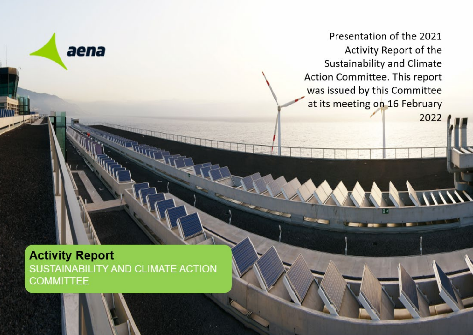Presentation of the 2021 Activity Report of the Sustainability and Climate Action Committee. This report was issued by this Committee at its meeting on 16 February 2022

**Activity Report** SUSTAINABILITY AND CLIMATE ACTION **COMMITTEE** 

aena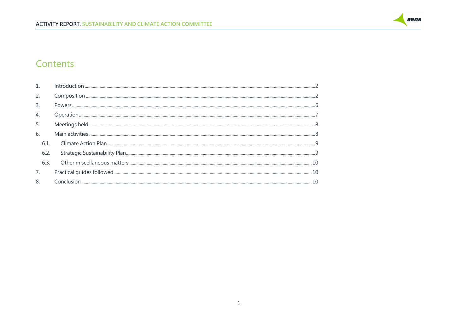

#### Contents

| 3.               |  |  |  |
|------------------|--|--|--|
| $\overline{4}$ . |  |  |  |
| 5.               |  |  |  |
| 6.               |  |  |  |
| 6.1.             |  |  |  |
| 6.2.             |  |  |  |
| 6.3.             |  |  |  |
|                  |  |  |  |
| 8.               |  |  |  |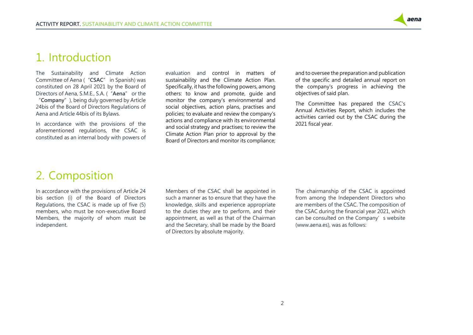

### <span id="page-2-0"></span>1. Introduction

The Sustainability and Climate Action Committee of Aena ("**CSAC**" in Spanish) was constituted on 28 April 2021 by the Board of Directors of Aena, S.M.E., S.A. ("**Aena**" or the "**Company**"), being duly governed by Article 24bis of the Board of Directors Regulations of Aena and Article 44bis of its Bylaws.

In accordance with the provisions of the aforementioned regulations, the CSAC is constituted as an internal body with powers of evaluation and control in matters of sustainability and the Climate Action Plan. Specifically, it has the following powers, among others: to know and promote, guide and monitor the company's environmental and social objectives, action plans, practises and policies; to evaluate and review the company's actions and compliance with its environmental and social strategy and practises; to review the Climate Action Plan prior to approval by the Board of Directors and monitor its compliance;

and to oversee the preparation and publication of the specific and detailed annual report on the company's progress in achieving the objectives of said plan.

The Committee has prepared the CSAC's Annual Activities Report, which includes the activities carried out by the CSAC during the 2021 fiscal year.

## <span id="page-2-1"></span>2. Composition

In accordance with the provisions of Article 24 bis section (i) of the Board of Directors Regulations, the CSAC is made up of five (5) members, who must be non-executive Board Members, the majority of whom must be independent.

Members of the CSAC shall be appointed in such a manner as to ensure that they have the knowledge, skills and experience appropriate to the duties they are to perform, and their appointment, as well as that of the Chairman and the Secretary, shall be made by the Board of Directors by absolute majority.

The chairmanship of the CSAC is appointed from among the Independent Directors who are members of the CSAC. The composition of the CSAC during the financial year 2021, which can be consulted on the Company's website (www.aena.es), was as follows: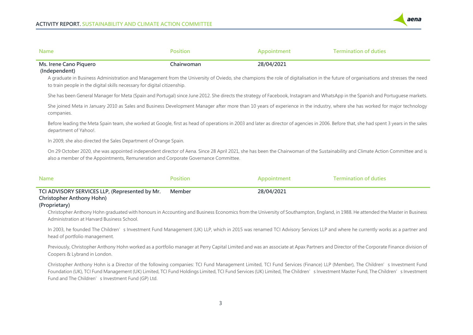

| <b>Name</b>                                                                                                                                       | <b>Position</b> | Appointment | <b>Termination of duties</b>                                                                                                                                                                                                                                                                                                                               |
|---------------------------------------------------------------------------------------------------------------------------------------------------|-----------------|-------------|------------------------------------------------------------------------------------------------------------------------------------------------------------------------------------------------------------------------------------------------------------------------------------------------------------------------------------------------------------|
| Ms. Irene Cano Piquero<br>(Independent)<br>to train people in the digital skills necessary for digital citizenship.                               | Chairwoman      | 28/04/2021  | A graduate in Business Administration and Management from the University of Oviedo, she champions the role of digitalisation in the future of organisations and stresses the need                                                                                                                                                                          |
|                                                                                                                                                   |                 |             | She has been General Manager for Meta (Spain and Portugal) since June 2012. She directs the strategy of Facebook, Instagram and WhatsApp in the Spanish and Portuguese markets.                                                                                                                                                                            |
| companies.                                                                                                                                        |                 |             | She joined Meta in January 2010 as Sales and Business Development Manager after more than 10 years of experience in the industry, where she has worked for major technology                                                                                                                                                                                |
| department of Yahoo!.                                                                                                                             |                 |             | Before leading the Meta Spain team, she worked at Google, first as head of operations in 2003 and later as director of agencies in 2006. Before that, she had spent 3 years in the sales                                                                                                                                                                   |
| In 2009, she also directed the Sales Department of Orange Spain.                                                                                  |                 |             |                                                                                                                                                                                                                                                                                                                                                            |
| also a member of the Appointments, Remuneration and Corporate Governance Committee.                                                               |                 |             | On 29 October 2020, she was appointed independent director of Aena. Since 28 April 2021, she has been the Chairwoman of the Sustainability and Climate Action Committee and is                                                                                                                                                                             |
| <b>Name</b>                                                                                                                                       | <b>Position</b> | Appointment | <b>Termination of duties</b>                                                                                                                                                                                                                                                                                                                               |
| TCI ADVISORY SERVICES LLP, (Represented by Mr.<br><b>Christopher Anthony Hohn)</b><br>(Proprietary)<br>Administration at Harvard Business School. | Member          | 28/04/2021  | Christopher Anthony Hohn graduated with honours in Accounting and Business Economics from the University of Southampton, England, in 1988. He attended the Master in Business<br>In 2003, he founded The Children's Investment Fund Management (UK) LLP, which in 2015 was renamed TCI Advisory Services LLP and where he currently works as a partner and |
| head of portfolio management.                                                                                                                     |                 |             |                                                                                                                                                                                                                                                                                                                                                            |

Previously, Christopher Anthony Hohn worked as a portfolio manager at Perry Capital Limited and was an associate at Apax Partners and Director of the Corporate Finance division of Coopers & Lybrand in London.

Christopher Anthony Hohn is a Director of the following companies: TCI Fund Management Limited, TCI Fund Services (Finance) LLP (Member), The Children's Investment Fund Foundation (UK), TCI Fund Management (UK) Limited, TCI Fund Holdings Limited, TCI Fund Services (UK) Limited, The Children's Investment Master Fund, The Children's Investment Fund and The Children's Investment Fund (GP) Ltd.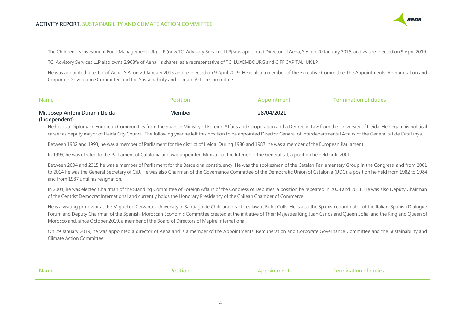

The Children's Investment Fund Management (UK) LLP (now TCI Advisory Services LLP) was appointed Director of Aena, S.A. on 20 January 2015, and was re-elected on 9 April 2019.

TCI Advisory Services LLP also owns 2.968% of Aena's shares, as a representative of TCI LUXEMBOURG and CIFF CAPITAL, UK LP.

He was appointed director of Aena, S.A. on 20 January 2015 and re-elected on 9 April 2019. He is also a member of the Executive Committee, the Appointments, Remuneration and Corporate Governance Committee and the Sustainability and Climate Action Committee.

| <b>Name</b>                     | Position | Appointment | <b>Termination of duties</b> |
|---------------------------------|----------|-------------|------------------------------|
| Mr. Josep Antoni Durán i Lleida | Member   | 28/04/2021  |                              |
| (Independent)                   |          |             |                              |

He holds a Diploma in European Communities from the Spanish Ministry of Foreign Affairs and Cooperation and a Degree in Law from the University of Lleida. He began his political career as deputy mayor of Lleida City Council. The following year he left this position to be appointed Director General of Interdepartmental Affairs of the Generalitat de Catalunya.

Between 1982 and 1993, he was a member of Parliament for the district of Lleida. During 1986 and 1987, he was a member of the European Parliament.

In 1999, he was elected to the Parliament of Catalonia and was appointed Minister of the Interior of the Generalitat, a position he held until 2001.

Between 2004 and 2015 he was a member of Parliament for the Barcelona constituency. He was the spokesman of the Catalan Parliamentary Group in the Congress, and from 2001 to 2014 he was the General Secretary of CiU. He was also Chairman of the Governance Committee of the Democratic Union of Catalonia (UDC), a position he held from 1982 to 1984 and from 1987 until his resignation.

In 2004, he was elected Chairman of the Standing Committee of Foreign Affairs of the Congress of Deputies, a position he repeated in 2008 and 2011. He was also Deputy Chairman of the Centrist Democrat International and currently holds the Honorary Presidency of the Chilean Chamber of Commerce.

He is a visiting professor at the Miguel de Cervantes University in Santiago de Chile and practices law at Bufet Colls. He is also the Spanish coordinator of the Italian-Spanish Dialogue Forum and Deputy Chairman of the Spanish-Moroccan Economic Committee created at the initiative of Their Majesties King Juan Carlos and Queen Sofia, and the King and Queen of Morocco and, since October 2019, a member of the Board of Directors of Mapfre International.

On 29 January 2019, he was appointed a director of Aena and is a member of the Appointments, Remuneration and Corporate Governance Committee and the Sustainability and Climate Action Committee.

| <b>Name</b> | <b>Position</b> | Appointment | Termination of duties |
|-------------|-----------------|-------------|-----------------------|
|             |                 |             |                       |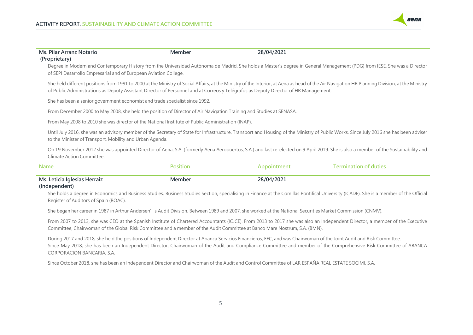

| Ms. Pilar Arranz Notario                                                                                                                                                                                                                          | Member          | 28/04/2021  |                                                                                                                                                                                                |
|---------------------------------------------------------------------------------------------------------------------------------------------------------------------------------------------------------------------------------------------------|-----------------|-------------|------------------------------------------------------------------------------------------------------------------------------------------------------------------------------------------------|
| (Proprietary)<br>of SEPI Desarrollo Empresarial and of European Aviation College.                                                                                                                                                                 |                 |             | Degree in Modern and Contemporary History from the Universidad Autónoma de Madrid. She holds a Master's degree in General Management (PDG) from IESE. She was a Director                       |
| of Public Administrations as Deputy Assistant Director of Personnel and at Correos y Telégrafos as Deputy Director of HR Management.                                                                                                              |                 |             | She held different positions from 1991 to 2000 at the Ministry of Social Affairs, at the Ministry of the Interior, at Aena as head of the Air Navigation HR Planning Division, at the Ministry |
| She has been a senior government economist and trade specialist since 1992.                                                                                                                                                                       |                 |             |                                                                                                                                                                                                |
| From December 2000 to May 2008, she held the position of Director of Air Navigation Training and Studies at SENASA.                                                                                                                               |                 |             |                                                                                                                                                                                                |
| From May 2008 to 2010 she was director of the National Institute of Public Administration (INAP).                                                                                                                                                 |                 |             |                                                                                                                                                                                                |
| Until July 2016, she was an advisory member of the Secretary of State for Infrastructure, Transport and Housing of the Ministry of Public Works. Since July 2016 she has been adviser<br>to the Minister of Transport, Mobility and Urban Agenda. |                 |             |                                                                                                                                                                                                |
| Climate Action Committee.                                                                                                                                                                                                                         |                 |             | On 19 November 2012 she was appointed Director of Aena, S.A. (formerly Aena Aeropuertos, S.A.) and last re-elected on 9 April 2019. She is also a member of the Sustainability and             |
| Name                                                                                                                                                                                                                                              | <b>Position</b> | Appointment | <b>Termination of duties</b>                                                                                                                                                                   |
| Ms. Leticia Iglesias Herraiz<br>(Independent)                                                                                                                                                                                                     | Member          | 28/04/2021  | She holds a degree in Economics and Business Studies. Business Studies Section, specialising in Finance at the Comillas Pontifical University (ICADE). She is a member of the Official         |

Register of Auditors of Spain (ROAC).

She began her career in 1987 in Arthur Andersen's Audit Division. Between 1989 and 2007, she worked at the National Securities Market Commission (CNMV).

From 2007 to 2013, she was CEO at the Spanish Institute of Chartered Accountants (ICJCE). From 2013 to 2017 she was also an Independent Director, a member of the Executive Committee, Chairwoman of the Global Risk Committee and a member of the Audit Committee at Banco Mare Nostrum, S.A. (BMN).

During 2017 and 2018, she held the positions of Independent Director at Abanca Servicios Financieros, EFC, and was Chairwoman of the Joint Audit and Risk Committee. Since May 2018, she has been an Independent Director, Chairwoman of the Audit and Compliance Committee and member of the Comprehensive Risk Committee of ABANCA CORPORACION BANCARIA, S.A.

Since October 2018, she has been an Independent Director and Chairwoman of the Audit and Control Committee of LAR ESPAÑA REAL ESTATE SOCIMI, S.A.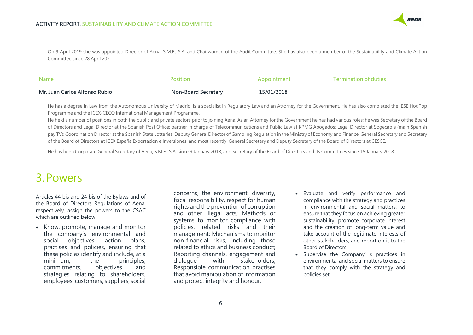

On 9 April 2019 she was appointed Director of Aena, S.M.E., S.A. and Chairwoman of the Audit Committee. She has also been a member of the Sustainability and Climate Action Committee since 28 April 2021.

| <b>Name</b>                   | Position                   | Appointment | <b>Termination of duties</b> |
|-------------------------------|----------------------------|-------------|------------------------------|
| Mr. Juan Carlos Alfonso Rubio | <b>Non-Board Secretary</b> | 15/01/2018  |                              |

He has a degree in Law from the Autonomous University of Madrid, is a specialist in Regulatory Law and an Attorney for the Government. He has also completed the IESE Hot Top Programme and the ICEX-CECO International Management Programme.

He held a number of positions in both the public and private sectors prior to joining Aena. As an Attorney for the Government he has had various roles; he was Secretary of the Board of Directors and Legal Director at the Spanish Post Office; partner in charge of Telecommunications and Public Law at KPMG Abogados; Legal Director at Sogecable (main Spanish pay TV); Coordination Director at the Spanish State Lotteries; Deputy General Director of Gambling Regulation in the Ministry of Economy and Finance; General Secretary and Secretary of the Board of Directors at ICEX España Exportación e Inversiones; and most recently, General Secretary and Deputy Secretary of the Board of Directors at CESCE.

He has been Corporate General Secretary of Aena, S.M.E., S.A. since 9 January 2018, and Secretary of the Board of Directors and its Committees since 15 January 2018.

## <span id="page-6-0"></span>3.Powers

Articles 44 bis and 24 bis of the Bylaws and of the Board of Directors Regulations of Aena, respectively, assign the powers to the CSAC which are outlined below:

• Know, promote, manage and monitor the company's environmental and social objectives, action plans, practises and policies, ensuring that these policies identify and include, at a minimum, the principles, commitments, objectives and strategies relating to shareholders, employees, customers, suppliers, social

concerns, the environment, diversity, fiscal responsibility, respect for human rights and the prevention of corruption and other illegal acts; Methods or systems to monitor compliance with policies, related risks and their management; Mechanisms to monitor non-financial risks, including those related to ethics and business conduct; Reporting channels, engagement and dialogue with stakeholders; Responsible communication practises that avoid manipulation of information and protect integrity and honour.

- Evaluate and verify performance and compliance with the strategy and practices in environmental and social matters, to ensure that they focus on achieving greater sustainability, promote corporate interest and the creation of long-term value and take account of the legitimate interests of other stakeholders, and report on it to the Board of Directors.
- Supervise the Company's practices in environmental and social matters to ensure that they comply with the strategy and policies set.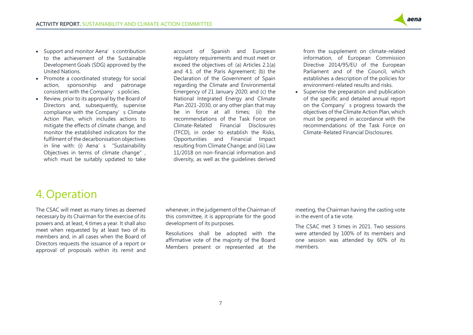

- Support and monitor Aena's contribution to the achievement of the Sustainable Development Goals (SDG) approved by the United Nations.
- Promote a coordinated strategy for social action, sponsorship and patronage consistent with the Company's policies.
- Review, prior to its approval by the Board of Directors and, subsequently, supervise compliance with the Company's Climate Action Plan, which includes actions to mitigate the effects of climate change, and monitor the established indicators for the fulfilment of the decarbonisation objectives in line with: (i) Aena's "Sustainability Objectives in terms of climate change". which must be suitably updated to take

account of Spanish and European regulatory requirements and must meet or exceed the objectives of: (a) Articles 2.1(a) and 4.1. of the Paris Agreement; (b) the Declaration of the Government of Spain regarding the Climate and Environmental Emergency of 21 January 2020; and (c) the National Integrated Energy and Climate Plan 2021-2030, or any other plan that may be in force at all times; (ii) the recommendations of the Task Force on Climate-Related Financial Disclosures (TFCD), in order to establish the Risks, Opportunities and Financial Impact resulting from Climate Change; and (iii) Law 11/2018 on non-financial information and diversity, as well as the guidelines derived from the supplement on climate-related information, of European Commission Directive 2014/95/EU of the European Parliament and of the Council, which establishes a description of the policies for environment-related results and risks.

• Supervise the preparation and publication of the specific and detailed annual report on the Company's progress towards the objectives of the Climate Action Plan, which must be prepared in accordance with the recommendations of the Task Force on Climate-Related Financial Disclosures.

## <span id="page-7-0"></span>4. Operation

The CSAC will meet as many times as deemed necessary by its Chairman for the exercise of its powers and, at least, 4 times a year. It shall also meet when requested by at least two of its members and, in all cases when the Board of Directors requests the issuance of a report or approval of proposals within its remit and whenever, in the judgement of the Chairman of this committee, it is appropriate for the good development of its purposes.

Resolutions shall be adopted with the affirmative vote of the majority of the Board Members present or represented at the meeting, the Chairman having the casting vote in the event of a tie vote.

The CSAC met 3 times in 2021. Two sessions were attended by 100% of its members and one session was attended by 60% of its members.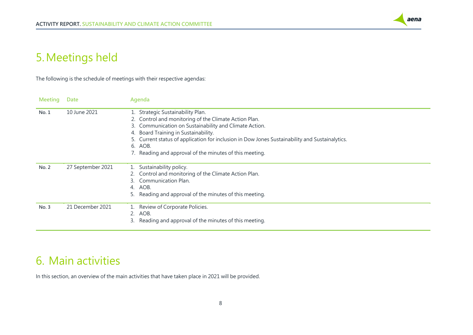

# <span id="page-8-0"></span>5.Meetings held

The following is the schedule of meetings with their respective agendas:

| <b>Meeting</b> | <b>Date</b>       | Agenda                                                                                                                                                                                                                                                                                                                                                               |
|----------------|-------------------|----------------------------------------------------------------------------------------------------------------------------------------------------------------------------------------------------------------------------------------------------------------------------------------------------------------------------------------------------------------------|
| No. 1          | 10 June 2021      | 1. Strategic Sustainability Plan.<br>2. Control and monitoring of the Climate Action Plan.<br>3. Communication on Sustainability and Climate Action.<br>4. Board Training in Sustainability.<br>5. Current status of application for inclusion in Dow Jones Sustainability and Sustainalytics.<br>6. AOB.<br>7. Reading and approval of the minutes of this meeting. |
| No. 2          | 27 September 2021 | Sustainability policy.<br>Control and monitoring of the Climate Action Plan.<br>Communication Plan.<br>4. AOB.<br>Reading and approval of the minutes of this meeting.                                                                                                                                                                                               |
| No. 3          | 21 December 2021  | Review of Corporate Policies.<br>2. AOB.<br>Reading and approval of the minutes of this meeting.                                                                                                                                                                                                                                                                     |

## <span id="page-8-1"></span>6. Main activities

In this section, an overview of the main activities that have taken place in 2021 will be provided.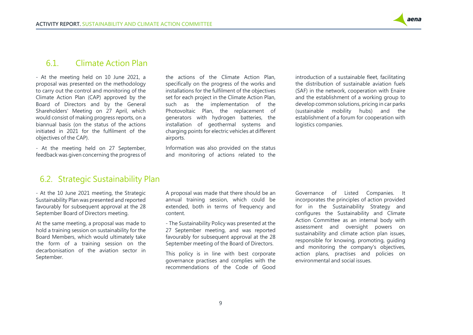

#### <span id="page-9-0"></span>6.1. Climate Action Plan

- At the meeting held on 10 June 2021, a proposal was presented on the methodology to carry out the control and monitoring of the Climate Action Plan (CAP) approved by the Board of Directors and by the General Shareholders' Meeting on 27 April, which would consist of making progress reports, on a biannual basis (on the status of the actions initiated in 2021 for the fulfilment of the objectives of the CAP).

- At the meeting held on 27 September, feedback was given concerning the progress of the actions of the Climate Action Plan, specifically on the progress of the works and installations for the fulfilment of the objectives set for each project in the Climate Action Plan, such as the implementation of the Photovoltaic Plan, the replacement of generators with hydrogen batteries, the installation of geothermal systems and charging points for electric vehicles at different airports.

Information was also provided on the status and monitoring of actions related to the

introduction of a sustainable fleet, facilitating the distribution of sustainable aviation fuels (SAF) in the network, cooperation with Enaire and the establishment of a working group to develop common solutions, pricing in car parks (sustainable mobility hubs) and the establishment of a forum for cooperation with logistics companies.

#### <span id="page-9-1"></span>6.2. Strategic Sustainability Plan

- At the 10 June 2021 meeting, the Strategic Sustainability Plan was presented and reported favourably for subsequent approval at the 28 September Board of Directors meeting.

At the same meeting, a proposal was made to hold a training session on sustainability for the Board Members, which would ultimately take the form of a training session on the decarbonisation of the aviation sector in September.

A proposal was made that there should be an annual training session, which could be extended, both in terms of frequency and content.

- The Sustainability Policy was presented at the 27 September meeting, and was reported favourably for subsequent approval at the 28 September meeting of the Board of Directors.

This policy is in line with best corporate governance practises and complies with the recommendations of the Code of Good

Governance of Listed Companies. It incorporates the principles of action provided for in the Sustainability Strategy and configures the Sustainability and Climate Action Committee as an internal body with assessment and oversight powers on sustainability and climate action plan issues, responsible for knowing, promoting, guiding and monitoring the company's objectives, action plans, practises and policies on environmental and social issues.